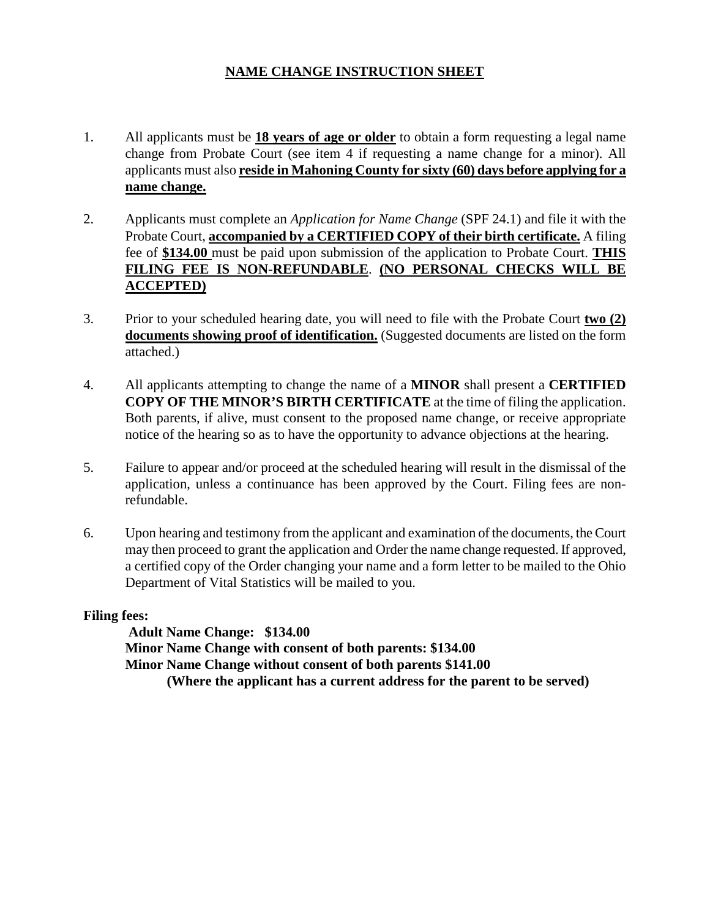# **NAME CHANGE INSTRUCTION SHEET**

- 1. All applicants must be **18 years of age or older** to obtain a form requesting a legal name change from Probate Court (see item 4 if requesting a name change for a minor). All applicants must also **reside in Mahoning County for sixty (60) days before applying for a name change.**
- 2. Applicants must complete an *Application for Name Change* (SPF 24.1) and file it with the Probate Court, **accompanied by a CERTIFIED COPY of their birth certificate.** A filing fee of **\$134.00** must be paid upon submission of the application to Probate Court. **THIS FILING FEE IS NON-REFUNDABLE**. **(NO PERSONAL CHECKS WILL BE ACCEPTED)**
- 3. Prior to your scheduled hearing date, you will need to file with the Probate Court **two (2) documents showing proof of identification.** (Suggested documents are listed on the form attached.)
- 4. All applicants attempting to change the name of a **MINOR** shall present a **CERTIFIED COPY OF THE MINOR'S BIRTH CERTIFICATE** at the time of filing the application. Both parents, if alive, must consent to the proposed name change, or receive appropriate notice of the hearing so as to have the opportunity to advance objections at the hearing.
- 5. Failure to appear and/or proceed at the scheduled hearing will result in the dismissal of the application, unless a continuance has been approved by the Court. Filing fees are nonrefundable.
- 6. Upon hearing and testimony from the applicant and examination of the documents, the Court may then proceed to grant the application and Order the name change requested. If approved, a certified copy of the Order changing your name and a form letter to be mailed to the Ohio Department of Vital Statistics will be mailed to you.

**Filing fees:** 

**Adult Name Change: \$134.00 Minor Name Change with consent of both parents: \$134.00 Minor Name Change without consent of both parents \$141.00 (Where the applicant has a current address for the parent to be served)**